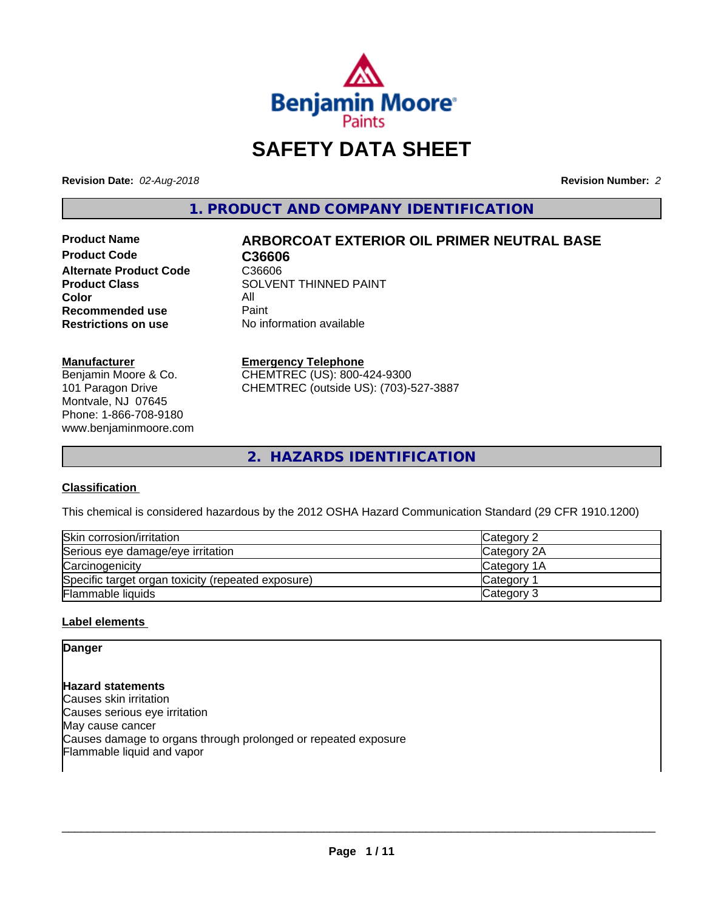

# **SAFETY DATA SHEET**

**Revision Date:** *02-Aug-2018* **Revision Number:** *2*

**1. PRODUCT AND COMPANY IDENTIFICATION**

Product Code **C36606 Alternate Product Code** C36606<br>Product Class SOLVEN **Color** All<br> **Recommended use** Paint **Recommended use**<br>Restrictions on use

## **Product Name ARBORCOAT EXTERIOR OIL PRIMER NEUTRAL BASE**

**SOLVENT THINNED PAINT No information available** 

#### **Manufacturer**

Benjamin Moore & Co. 101 Paragon Drive Montvale, NJ 07645 Phone: 1-866-708-9180 www.benjaminmoore.com

#### **Emergency Telephone**

CHEMTREC (US): 800-424-9300 CHEMTREC (outside US): (703)-527-3887

**2. HAZARDS IDENTIFICATION**

#### **Classification**

This chemical is considered hazardous by the 2012 OSHA Hazard Communication Standard (29 CFR 1910.1200)

| Skin corrosion/irritation                          | Category 2         |
|----------------------------------------------------|--------------------|
| Serious eye damage/eye irritation                  | Category 2A        |
| Carcinogenicity                                    | <b>Category 1A</b> |
| Specific target organ toxicity (repeated exposure) | <b>Category</b>    |
| <b>Flammable liquids</b>                           | Category 3         |

#### **Label elements**

## **Danger**

**Hazard statements** Causes skin irritation Causes serious eye irritation May cause cancer Causes damage to organs through prolonged or repeated exposure Flammable liquid and vapor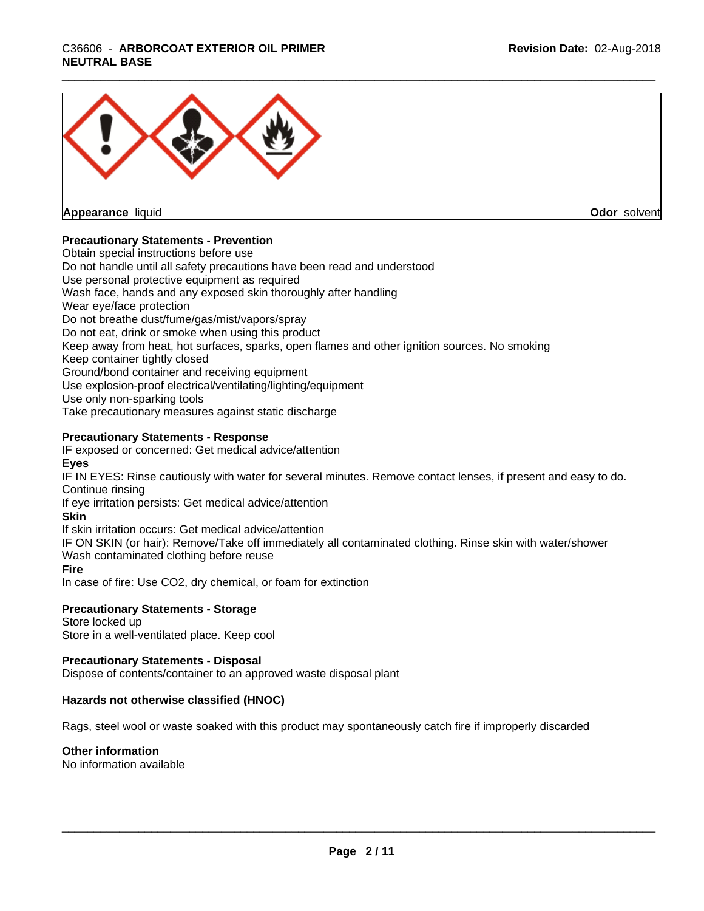## \_\_\_\_\_\_\_\_\_\_\_\_\_\_\_\_\_\_\_\_\_\_\_\_\_\_\_\_\_\_\_\_\_\_\_\_\_\_\_\_\_\_\_\_\_\_\_\_\_\_\_\_\_\_\_\_\_\_\_\_\_\_\_\_\_\_\_\_\_\_\_\_\_\_\_\_\_\_\_\_\_\_\_\_\_\_\_\_\_\_\_\_\_ C36606 - **ARBORCOAT EXTERIOR OIL PRIMER NEUTRAL BASE**



**Appearance** liquid

**Odor** solvent

#### **Precautionary Statements - Prevention**

Obtain special instructions before use Do not handle until all safety precautions have been read and understood Use personal protective equipment as required Wash face, hands and any exposed skin thoroughly after handling Wear eye/face protection Do not breathe dust/fume/gas/mist/vapors/spray Do not eat, drink or smoke when using this product Keep away from heat, hot surfaces, sparks, open flames and other ignition sources. No smoking Keep container tightly closed Ground/bond container and receiving equipment Use explosion-proof electrical/ventilating/lighting/equipment Use only non-sparking tools Take precautionary measures against static discharge

#### **Precautionary Statements - Response**

IF exposed or concerned: Get medical advice/attention

#### **Eyes**

IF IN EYES: Rinse cautiously with water forseveral minutes. Remove contact lenses, if present and easy to do. Continue rinsing

If eye irritation persists: Get medical advice/attention

#### **Skin**

If skin irritation occurs: Get medical advice/attention

IF ON SKIN (or hair): Remove/Take off immediately all contaminated clothing. Rinse skin with water/shower Wash contaminated clothing before reuse

#### **Fire**

In case of fire: Use CO2, dry chemical, or foam for extinction

#### **Precautionary Statements - Storage**

Store locked up Store in a well-ventilated place. Keep cool

#### **Precautionary Statements - Disposal**

Dispose of contents/container to an approved waste disposal plant

#### **Hazards not otherwise classified (HNOC)**

Rags, steel wool or waste soaked with this product may spontaneously catch fire if improperly discarded

#### **Other information**

No information available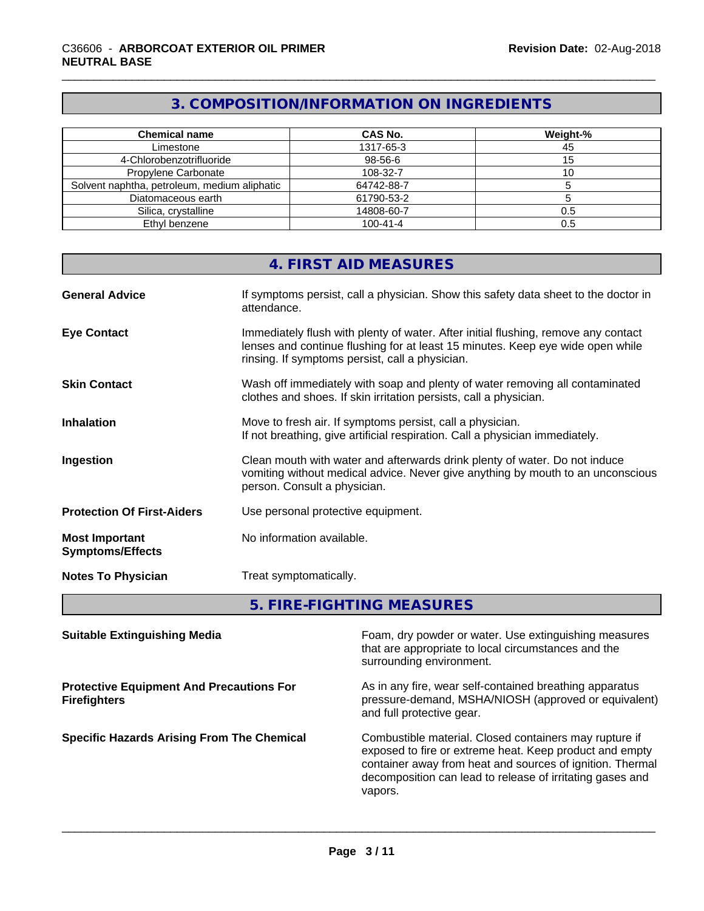## **3. COMPOSITION/INFORMATION ON INGREDIENTS**

| <b>Chemical name</b>                         | <b>CAS No.</b> | Weight-% |
|----------------------------------------------|----------------|----------|
| Limestone                                    | 1317-65-3      | 45       |
| 4-Chlorobenzotrifluoride                     | 98-56-6        |          |
| Propylene Carbonate                          | 108-32-7       | ΊU       |
| Solvent naphtha, petroleum, medium aliphatic | 64742-88-7     |          |
| Diatomaceous earth                           | 61790-53-2     |          |
| Silica, crystalline                          | 14808-60-7     | 0.5      |
| Ethyl benzene                                | $100 - 41 - 4$ | 0.5      |

|                                                  | 4. FIRST AID MEASURES                                                                                                                                                                                                   |
|--------------------------------------------------|-------------------------------------------------------------------------------------------------------------------------------------------------------------------------------------------------------------------------|
| <b>General Advice</b>                            | If symptoms persist, call a physician. Show this safety data sheet to the doctor in<br>attendance.                                                                                                                      |
| <b>Eye Contact</b>                               | Immediately flush with plenty of water. After initial flushing, remove any contact<br>lenses and continue flushing for at least 15 minutes. Keep eye wide open while<br>rinsing. If symptoms persist, call a physician. |
| <b>Skin Contact</b>                              | Wash off immediately with soap and plenty of water removing all contaminated<br>clothes and shoes. If skin irritation persists, call a physician.                                                                       |
| <b>Inhalation</b>                                | Move to fresh air. If symptoms persist, call a physician.<br>If not breathing, give artificial respiration. Call a physician immediately.                                                                               |
| Ingestion                                        | Clean mouth with water and afterwards drink plenty of water. Do not induce<br>vomiting without medical advice. Never give anything by mouth to an unconscious<br>person. Consult a physician.                           |
| <b>Protection Of First-Aiders</b>                | Use personal protective equipment.                                                                                                                                                                                      |
| <b>Most Important</b><br><b>Symptoms/Effects</b> | No information available.                                                                                                                                                                                               |
| <b>Notes To Physician</b>                        | Treat symptomatically.                                                                                                                                                                                                  |
|                                                  |                                                                                                                                                                                                                         |

**5. FIRE-FIGHTING MEASURES**

| <b>Suitable Extinguishing Media</b>                                    | Foam, dry powder or water. Use extinguishing measures<br>that are appropriate to local circumstances and the<br>surrounding environment.                                                                                                               |
|------------------------------------------------------------------------|--------------------------------------------------------------------------------------------------------------------------------------------------------------------------------------------------------------------------------------------------------|
| <b>Protective Equipment And Precautions For</b><br><b>Firefighters</b> | As in any fire, wear self-contained breathing apparatus<br>pressure-demand, MSHA/NIOSH (approved or equivalent)<br>and full protective gear.                                                                                                           |
| <b>Specific Hazards Arising From The Chemical</b>                      | Combustible material. Closed containers may rupture if<br>exposed to fire or extreme heat. Keep product and empty<br>container away from heat and sources of ignition. Thermal<br>decomposition can lead to release of irritating gases and<br>vapors. |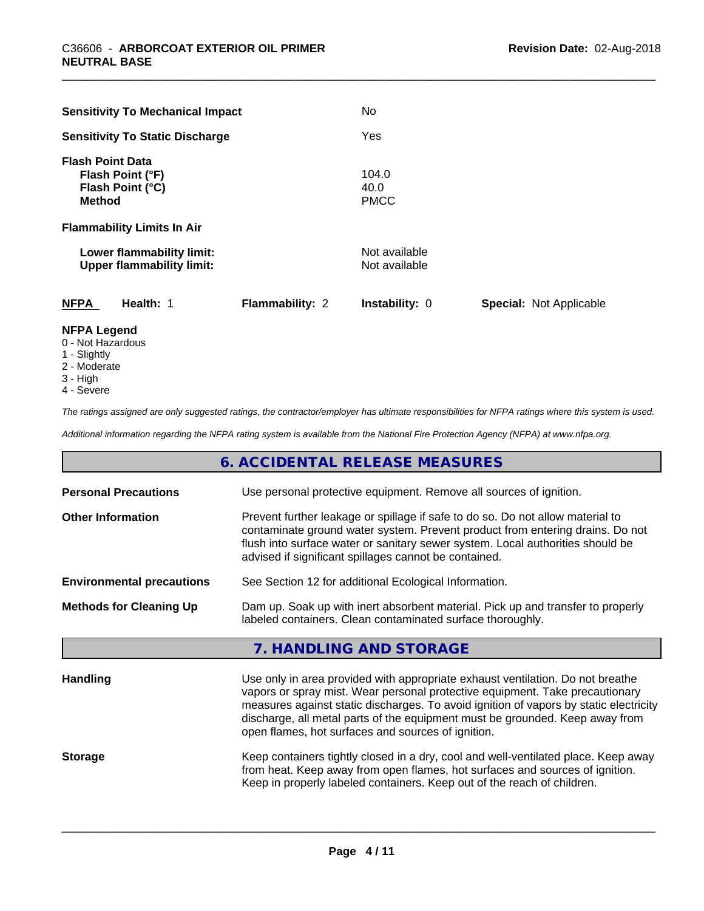| <b>Sensitivity To Mechanical Impact</b>                                          | No                             |                                |
|----------------------------------------------------------------------------------|--------------------------------|--------------------------------|
| <b>Sensitivity To Static Discharge</b>                                           | Yes                            |                                |
| <b>Flash Point Data</b><br>Flash Point (°F)<br>Flash Point (°C)<br><b>Method</b> | 104.0<br>40.0<br><b>PMCC</b>   |                                |
| <b>Flammability Limits In Air</b>                                                |                                |                                |
| Lower flammability limit:<br><b>Upper flammability limit:</b>                    | Not available<br>Not available |                                |
| <b>NFPA</b><br>Health: 1<br><b>Flammability: 2</b>                               | Instability: 0                 | <b>Special: Not Applicable</b> |

#### **NFPA Legend**

- 0 Not Hazardous
- 1 Slightly
- 2 Moderate
- 3 High
- 4 Severe

*The ratings assigned are only suggested ratings, the contractor/employer has ultimate responsibilities for NFPA ratings where this system is used.*

*Additional information regarding the NFPA rating system is available from the National Fire Protection Agency (NFPA) at www.nfpa.org.*

### **6. ACCIDENTAL RELEASE MEASURES**

| <b>Personal Precautions</b>      | Use personal protective equipment. Remove all sources of ignition.                                                                                                                                                                                                                                                                                                                            |  |
|----------------------------------|-----------------------------------------------------------------------------------------------------------------------------------------------------------------------------------------------------------------------------------------------------------------------------------------------------------------------------------------------------------------------------------------------|--|
| <b>Other Information</b>         | Prevent further leakage or spillage if safe to do so. Do not allow material to<br>contaminate ground water system. Prevent product from entering drains. Do not<br>flush into surface water or sanitary sewer system. Local authorities should be<br>advised if significant spillages cannot be contained.                                                                                    |  |
| <b>Environmental precautions</b> | See Section 12 for additional Ecological Information.                                                                                                                                                                                                                                                                                                                                         |  |
| <b>Methods for Cleaning Up</b>   | Dam up. Soak up with inert absorbent material. Pick up and transfer to properly<br>labeled containers. Clean contaminated surface thoroughly.                                                                                                                                                                                                                                                 |  |
|                                  | 7. HANDLING AND STORAGE                                                                                                                                                                                                                                                                                                                                                                       |  |
| <b>Handling</b>                  | Use only in area provided with appropriate exhaust ventilation. Do not breathe<br>vapors or spray mist. Wear personal protective equipment. Take precautionary<br>measures against static discharges. To avoid ignition of vapors by static electricity<br>discharge, all metal parts of the equipment must be grounded. Keep away from<br>open flames, hot surfaces and sources of ignition. |  |
| <b>Storage</b>                   | Keep containers tightly closed in a dry, cool and well-ventilated place. Keep away<br>from heat. Keep away from open flames, hot surfaces and sources of ignition.<br>Keep in properly labeled containers. Keep out of the reach of children.                                                                                                                                                 |  |
|                                  |                                                                                                                                                                                                                                                                                                                                                                                               |  |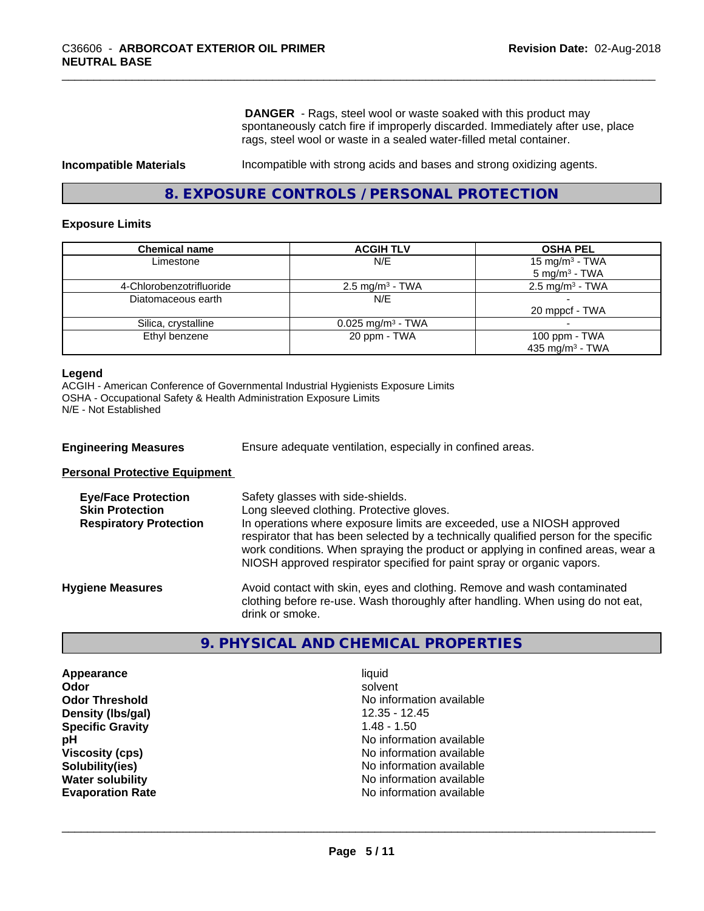**DANGER** - Rags, steel wool or waste soaked with this product may spontaneously catch fire if improperly discarded. Immediately after use, place rags, steel wool or waste in a sealed water-filled metal container.

**Incompatible Materials Incompatible with strong acids and bases and strong oxidizing agents.** 

#### **8. EXPOSURE CONTROLS / PERSONAL PROTECTION**

#### **Exposure Limits**

| <b>Chemical name</b>     | <b>ACGIH TLV</b>                | <b>OSHA PEL</b>             |
|--------------------------|---------------------------------|-----------------------------|
| Limestone                | N/E                             | 15 mg/m <sup>3</sup> - TWA  |
|                          |                                 | $5 \text{ mg/m}^3$ - TWA    |
| 4-Chlorobenzotrifluoride | $2.5 \text{ mg/m}^3$ - TWA      | $2.5 \text{ mg/m}^3$ - TWA  |
| Diatomaceous earth       | N/E                             |                             |
|                          |                                 | 20 mppcf - TWA              |
| Silica, crystalline      | $0.025$ mg/m <sup>3</sup> - TWA |                             |
| Ethyl benzene            | 20 ppm - TWA                    | 100 ppm - TWA               |
|                          |                                 | 435 mg/m <sup>3</sup> - TWA |

#### **Legend**

ACGIH - American Conference of Governmental Industrial Hygienists Exposure Limits OSHA - Occupational Safety & Health Administration Exposure Limits N/E - Not Established

| <b>Engineering Measures</b> | Ensure adequate ventilation, especially in confined areas. |  |
|-----------------------------|------------------------------------------------------------|--|
|                             |                                                            |  |

**Personal Protective Equipment**

| <b>Eye/Face Protection</b><br><b>Skin Protection</b><br><b>Respiratory Protection</b> | Safety glasses with side-shields.<br>Long sleeved clothing. Protective gloves.<br>In operations where exposure limits are exceeded, use a NIOSH approved<br>respirator that has been selected by a technically qualified person for the specific<br>work conditions. When spraying the product or applying in confined areas, wear a<br>NIOSH approved respirator specified for paint spray or organic vapors. |
|---------------------------------------------------------------------------------------|----------------------------------------------------------------------------------------------------------------------------------------------------------------------------------------------------------------------------------------------------------------------------------------------------------------------------------------------------------------------------------------------------------------|
| <b>Hygiene Measures</b>                                                               | Avoid contact with skin, eyes and clothing. Remove and wash contaminated<br>clothing before re-use. Wash thoroughly after handling. When using do not eat,<br>drink or smoke.                                                                                                                                                                                                                                  |

#### **9. PHYSICAL AND CHEMICAL PROPERTIES**

**Appearance** liquid **Odor** solvent **Density (lbs/gal)** 12.35 - 12.45 **Specific Gravity** 1.48 - 1.50

**Odor Threshold No information available No information available pH** No information available **Viscosity (cps)** No information available<br> **Solubility (ies)** No information available<br>
No information available **Solubility(ies)**<br> **No information available**<br> **Water solubility**<br> **Water solubility No information available Evaporation Rate Evaporation Rate No information available**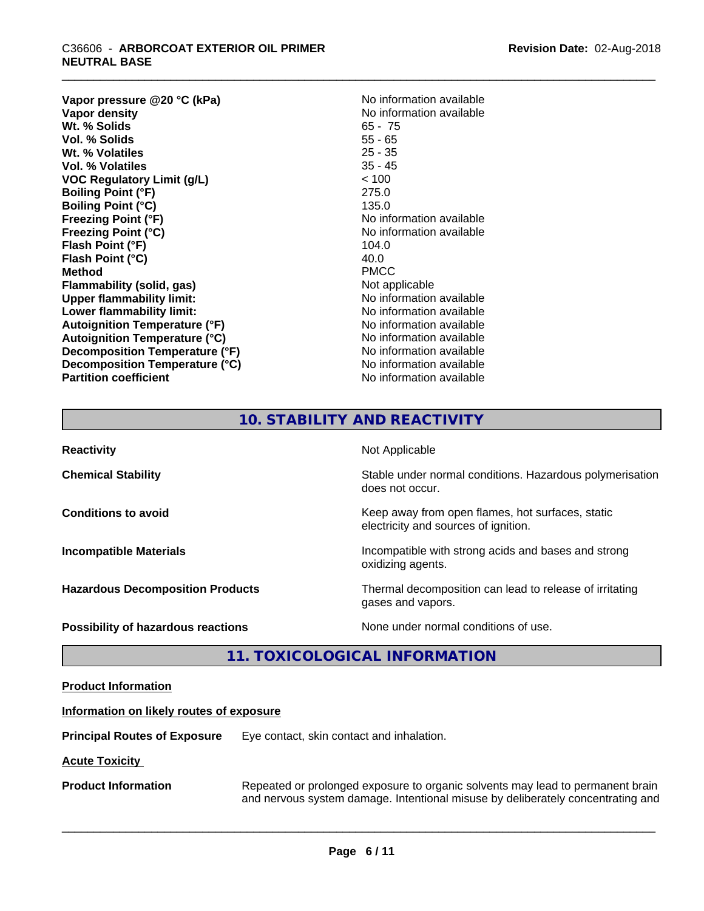## \_\_\_\_\_\_\_\_\_\_\_\_\_\_\_\_\_\_\_\_\_\_\_\_\_\_\_\_\_\_\_\_\_\_\_\_\_\_\_\_\_\_\_\_\_\_\_\_\_\_\_\_\_\_\_\_\_\_\_\_\_\_\_\_\_\_\_\_\_\_\_\_\_\_\_\_\_\_\_\_\_\_\_\_\_\_\_\_\_\_\_\_\_ C36606 - **ARBORCOAT EXTERIOR OIL PRIMER NEUTRAL BASE**

**Vapor pressure @20 °C (kPa)**<br> **Vapor density**<br> **Vapor density**<br> **Vapor density Wt. % Solids** 65 - 75<br> **Vol. % Solids** 65 - 75 **Vol. % Solids** 55 - 65<br> **Wt. % Volatiles** 25 - 35 **Wt. % Volatiles Vol. % Volatiles** 35 - 45 **VOC Regulatory Limit (g/L)** < 100 **Boiling Point (°F)** 275.0 **Boiling Point (°C)** 135.0 **Freezing Point (°F)** No information available **Freezing Point (°C)** No information available **Flash Point (°F)** 104.0 **Flash Point (°C)** 40.0<br> **Method** PMCC **Method** PMCC **Flammability (solid, gas)** Not applicable **Upper flammability limit:**<br> **Lower flammability limit:** No information available **Lower flammability limit: Autoignition Temperature (°F)** No information available **Autoignition Temperature (°C)**<br> **Decomposition Temperature (°F)** No information available **Decomposition Temperature (°F) Decomposition Temperature (°C)** No information available **Partition coefficient CONSTRANSISTS No information available** 

**No information available**<br>65 - 75

## **10. STABILITY AND REACTIVITY**

| <b>Reactivity</b>                       | Not Applicable                                                                           |
|-----------------------------------------|------------------------------------------------------------------------------------------|
| <b>Chemical Stability</b>               | Stable under normal conditions. Hazardous polymerisation<br>does not occur.              |
| <b>Conditions to avoid</b>              | Keep away from open flames, hot surfaces, static<br>electricity and sources of ignition. |
| <b>Incompatible Materials</b>           | Incompatible with strong acids and bases and strong<br>oxidizing agents.                 |
| <b>Hazardous Decomposition Products</b> | Thermal decomposition can lead to release of irritating<br>gases and vapors.             |
| Possibility of hazardous reactions      | None under normal conditions of use.                                                     |

## **11. TOXICOLOGICAL INFORMATION**

| <b>Product Information</b>               |                                                                                                                                                                   |
|------------------------------------------|-------------------------------------------------------------------------------------------------------------------------------------------------------------------|
| Information on likely routes of exposure |                                                                                                                                                                   |
| <b>Principal Routes of Exposure</b>      | Eye contact, skin contact and inhalation.                                                                                                                         |
| <b>Acute Toxicity</b>                    |                                                                                                                                                                   |
| <b>Product Information</b>               | Repeated or prolonged exposure to organic solvents may lead to permanent brain<br>and nervous system damage. Intentional misuse by deliberately concentrating and |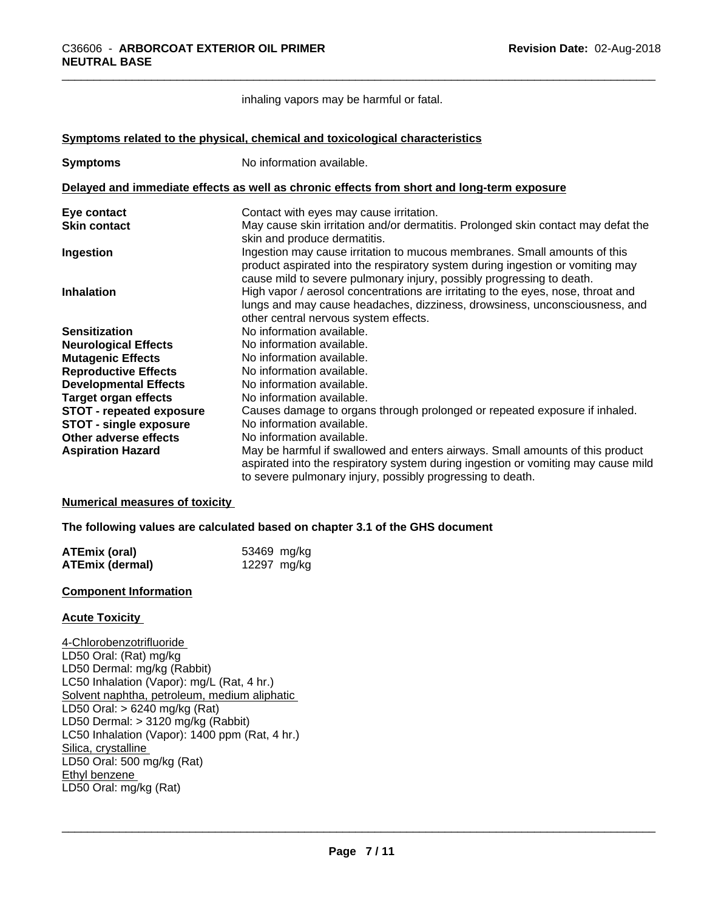inhaling vapors may be harmful or fatal.

**<u>Symptoms related to the physical, chemical and toxicological characteristics</u>** 

| <b>Symptoms</b>                 | No information available.                                                                                                                                                                                                            |
|---------------------------------|--------------------------------------------------------------------------------------------------------------------------------------------------------------------------------------------------------------------------------------|
|                                 | Delayed and immediate effects as well as chronic effects from short and long-term exposure                                                                                                                                           |
| Eye contact                     | Contact with eyes may cause irritation.                                                                                                                                                                                              |
| <b>Skin contact</b>             | May cause skin irritation and/or dermatitis. Prolonged skin contact may defat the<br>skin and produce dermatitis.                                                                                                                    |
| Ingestion                       | Ingestion may cause irritation to mucous membranes. Small amounts of this<br>product aspirated into the respiratory system during ingestion or vomiting may<br>cause mild to severe pulmonary injury, possibly progressing to death. |
| <b>Inhalation</b>               | High vapor / aerosol concentrations are irritating to the eyes, nose, throat and<br>lungs and may cause headaches, dizziness, drowsiness, unconsciousness, and<br>other central nervous system effects.                              |
| <b>Sensitization</b>            | No information available.                                                                                                                                                                                                            |
| <b>Neurological Effects</b>     | No information available.                                                                                                                                                                                                            |
| <b>Mutagenic Effects</b>        | No information available.                                                                                                                                                                                                            |
| <b>Reproductive Effects</b>     | No information available.                                                                                                                                                                                                            |
| <b>Developmental Effects</b>    | No information available.                                                                                                                                                                                                            |
| <b>Target organ effects</b>     | No information available.                                                                                                                                                                                                            |
| <b>STOT - repeated exposure</b> | Causes damage to organs through prolonged or repeated exposure if inhaled.                                                                                                                                                           |
| STOT - single exposure          | No information available.                                                                                                                                                                                                            |
| Other adverse effects           | No information available.                                                                                                                                                                                                            |
| <b>Aspiration Hazard</b>        | May be harmful if swallowed and enters airways. Small amounts of this product<br>aspirated into the respiratory system during ingestion or vomiting may cause mild<br>to severe pulmonary injury, possibly progressing to death.     |

#### **Numerical measures of toxicity**

**The following values are calculated based on chapter 3.1 of the GHS document**

| ATEmix (oral)          | 53469 mg/kg |
|------------------------|-------------|
| <b>ATEmix (dermal)</b> | 12297 mg/kg |

#### **Component Information**

#### **Acute Toxicity**

4-Chlorobenzotrifluoride LD50 Oral: (Rat) mg/kg LD50 Dermal: mg/kg (Rabbit) LC50 Inhalation (Vapor): mg/L (Rat, 4 hr.) Solvent naphtha, petroleum, medium aliphatic LD50 Oral: > 6240 mg/kg (Rat) LD50 Dermal:  $> 3120$  mg/kg (Rabbit) LC50 Inhalation (Vapor): 1400 ppm (Rat, 4 hr.) Silica, crystalline LD50 Oral: 500 mg/kg (Rat) Ethyl benzene \_\_\_\_\_\_\_\_\_\_\_\_\_\_\_\_\_\_\_\_\_\_\_\_\_\_\_\_\_\_\_\_\_\_\_\_\_\_\_\_\_\_\_\_\_\_\_\_\_\_\_\_\_\_\_\_\_\_\_\_\_\_\_\_\_\_\_\_\_\_\_\_\_\_\_\_\_\_\_\_\_\_\_\_\_\_\_\_\_\_\_\_\_ LD50 Oral: mg/kg (Rat)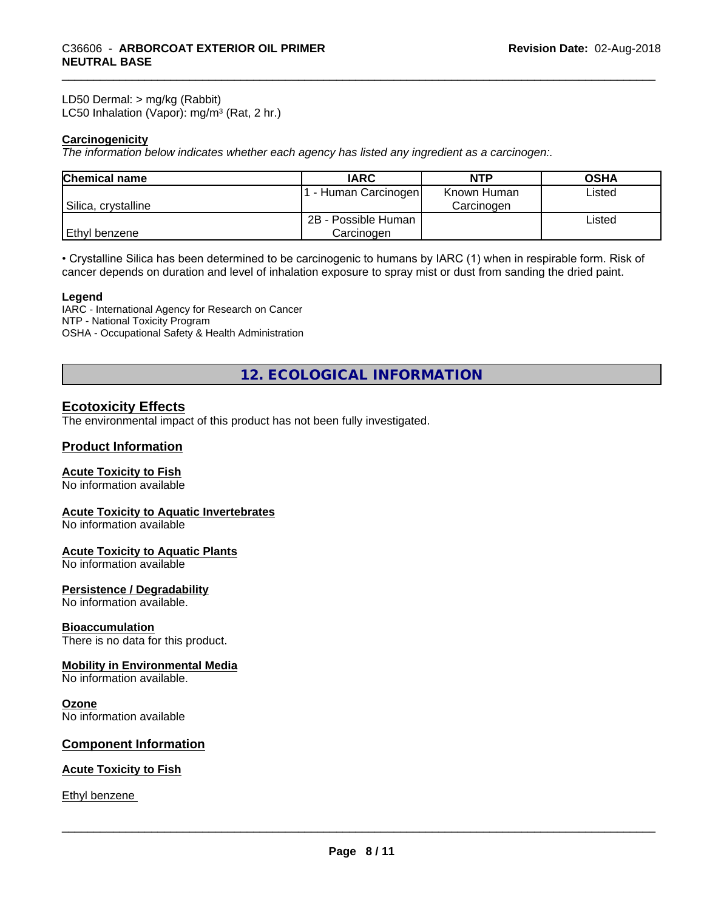LD50 Dermal: > mg/kg (Rabbit) LC50 Inhalation (Vapor): mg/m<sup>3</sup> (Rat, 2 hr.)

#### **Carcinogenicity**

*The information below indicateswhether each agency has listed any ingredient as a carcinogen:.*

| <b>Chemical name</b> | <b>IARC</b>         | NTP         | <b>OSHA</b> |
|----------------------|---------------------|-------------|-------------|
|                      | - Human Carcinogen  | Known Human | Listed      |
| Silica, crystalline  |                     | Carcinogen  |             |
|                      | 2B - Possible Human |             | Listed      |
| Ethyl benzene        | Carcinoɑen          |             |             |

• Crystalline Silica has been determined to be carcinogenic to humans by IARC (1) when in respirable form. Risk of cancer depends on duration and level of inhalation exposure to spray mist or dust from sanding the dried paint.

#### **Legend**

IARC - International Agency for Research on Cancer NTP - National Toxicity Program OSHA - Occupational Safety & Health Administration

**12. ECOLOGICAL INFORMATION**

## **Ecotoxicity Effects**

The environmental impact of this product has not been fully investigated.

#### **Product Information**

#### **Acute Toxicity to Fish**

No information available

#### **Acute Toxicity to Aquatic Invertebrates**

No information available

#### **Acute Toxicity to Aquatic Plants**

No information available

#### **Persistence / Degradability**

No information available.

#### **Bioaccumulation**

There is no data for this product.

#### **Mobility in Environmental Media**

No information available.

#### **Ozone**

No information available

#### **Component Information**

#### **Acute Toxicity to Fish**

Ethyl benzene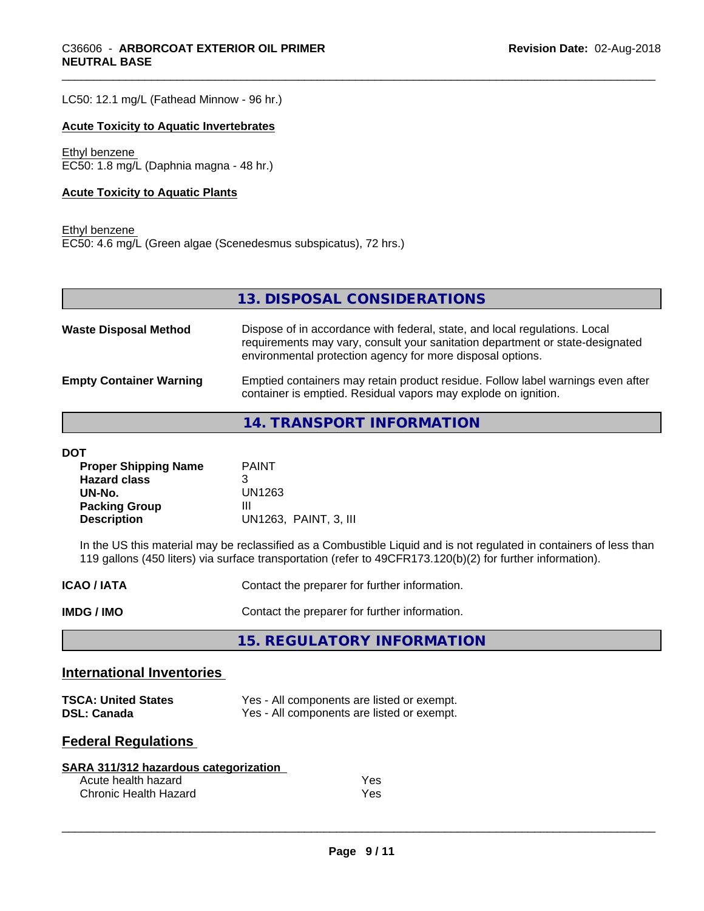LC50: 12.1 mg/L (Fathead Minnow - 96 hr.)

#### **Acute Toxicity to Aquatic Invertebrates**

Ethyl benzene EC50: 1.8 mg/L (Daphnia magna - 48 hr.)

#### **Acute Toxicity to Aquatic Plants**

Ethyl benzene EC50: 4.6 mg/L (Green algae (Scenedesmus subspicatus), 72 hrs.)

**13. DISPOSAL CONSIDERATIONS**

| <b>Waste Disposal Method</b>   | Dispose of in accordance with federal, state, and local regulations. Local<br>requirements may vary, consult your sanitation department or state-designated<br>environmental protection agency for more disposal options. |
|--------------------------------|---------------------------------------------------------------------------------------------------------------------------------------------------------------------------------------------------------------------------|
| <b>Empty Container Warning</b> | Emptied containers may retain product residue. Follow label warnings even after<br>container is emptied. Residual vapors may explode on ignition.                                                                         |

**14. TRANSPORT INFORMATION**

#### **DOT**

| <b>Proper Shipping Name</b> | <b>PAINT</b>          |
|-----------------------------|-----------------------|
| <b>Hazard class</b>         |                       |
| UN-No.                      | UN1263                |
| <b>Packing Group</b>        | Ш                     |
| <b>Description</b>          | UN1263, PAINT, 3, III |

In the US this material may be reclassified as a Combustible Liquid and is not regulated in containers of less than 119 gallons (450 liters) via surface transportation (refer to 49CFR173.120(b)(2) for further information).

| <b>ICAO / IATA</b> | Contact the preparer for further information. |
|--------------------|-----------------------------------------------|
| IMDG / IMO         | Contact the preparer for further information. |

**15. REGULATORY INFORMATION**

#### **International Inventories**

| <b>TSCA: United States</b> | Yes - All components are listed or exempt. |
|----------------------------|--------------------------------------------|
| <b>DSL: Canada</b>         | Yes - All components are listed or exempt. |

#### **Federal Regulations**

| SARA 311/312 hazardous categorization |     |  |
|---------------------------------------|-----|--|
| Acute health hazard                   | Yes |  |
| Chronic Health Hazard                 | Yes |  |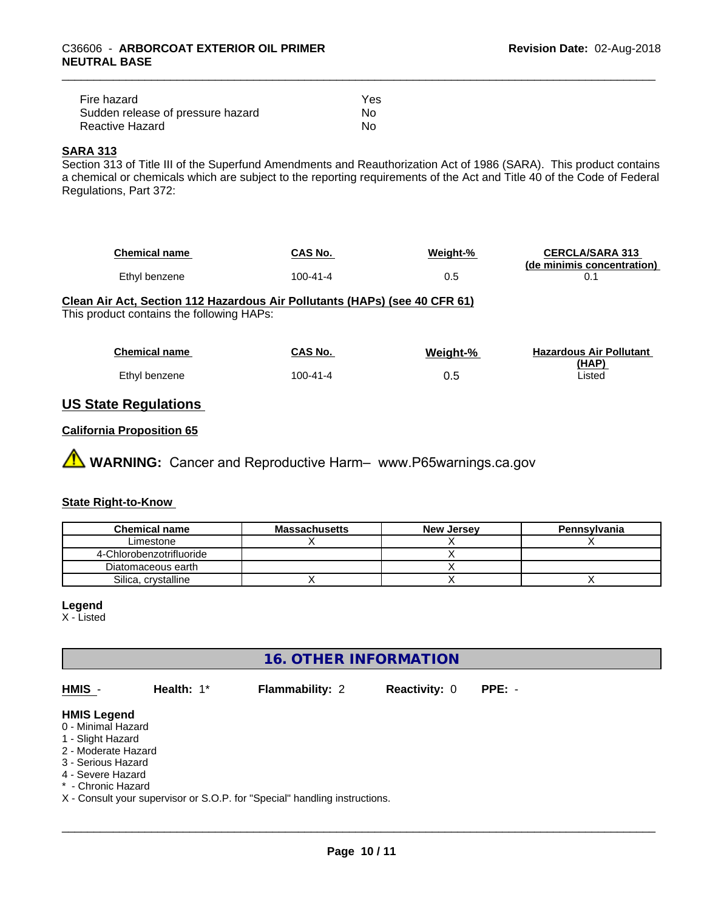| Fire hazard                       | Yes |  |
|-----------------------------------|-----|--|
| Sudden release of pressure hazard | Nο  |  |
| Reactive Hazard                   | Nο  |  |

#### **SARA 313**

Section 313 of Title III of the Superfund Amendments and Reauthorization Act of 1986 (SARA). This product contains a chemical or chemicals which are subject to the reporting requirements of the Act and Title 40 of the Code of Federal Regulations, Part 372:

| <b>Chemical name</b> | CAS No.  | Weight-% | <b>CERCLA/SARA 313</b><br>(de minimis concentration) |
|----------------------|----------|----------|------------------------------------------------------|
| Ethyl benzene        | 100-41-4 |          |                                                      |

#### **Clean Air Act,Section 112 Hazardous Air Pollutants (HAPs) (see 40 CFR 61)**

This product contains the following HAPs:

| <b>Chemical name</b> | CAS No.  | Weight-% | <b>Hazardous Air Pollutant</b> |
|----------------------|----------|----------|--------------------------------|
| Ethyl benzene        | 100-41-4 | 0.5      | (HAP)<br>Listed                |

## **US State Regulations**

#### **California Proposition 65**

**AVIMARNING:** Cancer and Reproductive Harm– www.P65warnings.ca.gov

#### **State Right-to-Know**

| <b>Chemical name</b>     | <b>Massachusetts</b> | <b>New Jersey</b> | Pennsylvania |
|--------------------------|----------------------|-------------------|--------------|
| ∟imestone                |                      |                   |              |
| 4-Chlorobenzotrifluoride |                      |                   |              |
| Diatomaceous earth       |                      |                   |              |
| Silica, crystalline      |                      |                   |              |

#### **Legend**

X - Listed

## **16. OTHER INFORMATION**

**HMIS** - **Health:** 1\* **Flammability:** 2 **Reactivity:** 0 **PPE:** - **HMIS Legend** 0 - Minimal Hazard 1 - Slight Hazard 2 - Moderate Hazard

3 - Serious Hazard

4 - Severe Hazard

\* - Chronic Hazard

X - Consult your supervisor or S.O.P. for "Special" handling instructions.